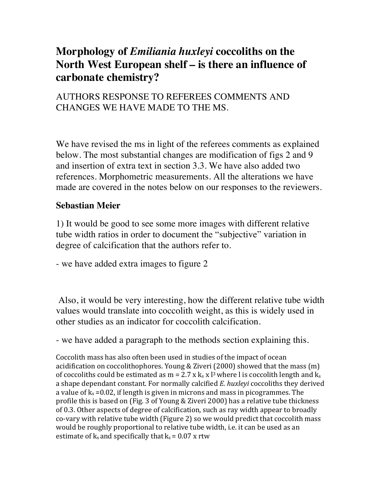# **Morphology of** *Emiliania huxleyi* **coccoliths on the North West European shelf – is there an influence of carbonate chemistry?**

## AUTHORS RESPONSE TO REFEREES COMMENTS AND CHANGES WE HAVE MADE TO THE MS.

We have revised the ms in light of the referees comments as explained below. The most substantial changes are modification of figs 2 and 9 and insertion of extra text in section 3.3. We have also added two references. Morphometric measurements. All the alterations we have made are covered in the notes below on our responses to the reviewers.

### **Sebastian Meier**

1) It would be good to see some more images with different relative tube width ratios in order to document the "subjective" variation in degree of calcification that the authors refer to.

- we have added extra images to figure 2

Also, it would be very interesting, how the different relative tube width values would translate into coccolith weight, as this is widely used in other studies as an indicator for coccolith calcification.

- we have added a paragraph to the methods section explaining this.

Coccolith mass has also often been used in studies of the impact of ocean acidification on coccolithophores. Young & Ziveri (2000) showed that the mass  $(m)$ of coccoliths could be estimated as  $m = 2.7 \times k_s \times 13$  where l is coccolith length and  $k_s$ a shape dependant constant. For normally calcified *E. huxleyi* coccoliths they derived a value of  $k_s = 0.02$ , if length is given in microns and mass in picogrammes. The profile this is based on (Fig. 3 of Young & Ziveri 2000) has a relative tube thickness of 0.3. Other aspects of degree of calcification, such as ray width appear to broadly co-vary with relative tube width (Figure 2) so we would predict that coccolith mass would be roughly proportional to relative tube width, i.e. it can be used as an estimate of  $k_s$  and specifically that  $k_s = 0.07$  x rtw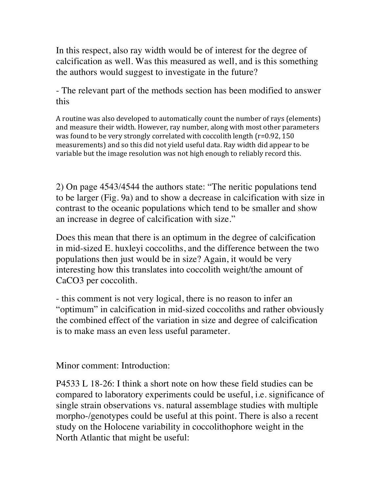In this respect, also ray width would be of interest for the degree of calcification as well. Was this measured as well, and is this something the authors would suggest to investigate in the future?

- The relevant part of the methods section has been modified to answer this

A routine was also developed to automatically count the number of rays (elements) and measure their width. However, ray number, along with most other parameters was found to be very strongly correlated with coccolith length  $(r=0.92, 150)$ measurements) and so this did not yield useful data. Ray width did appear to be variable but the image resolution was not high enough to reliably record this.

2) On page 4543/4544 the authors state: "The neritic populations tend to be larger (Fig. 9a) and to show a decrease in calcification with size in contrast to the oceanic populations which tend to be smaller and show an increase in degree of calcification with size."

Does this mean that there is an optimum in the degree of calcification in mid-sized E. huxleyi coccoliths, and the difference between the two populations then just would be in size? Again, it would be very interesting how this translates into coccolith weight/the amount of CaCO3 per coccolith.

- this comment is not very logical, there is no reason to infer an "optimum" in calcification in mid-sized coccoliths and rather obviously the combined effect of the variation in size and degree of calcification is to make mass an even less useful parameter.

Minor comment: Introduction:

P4533 L 18-26: I think a short note on how these field studies can be compared to laboratory experiments could be useful, i.e. significance of single strain observations vs. natural assemblage studies with multiple morpho-/genotypes could be useful at this point. There is also a recent study on the Holocene variability in coccolithophore weight in the North Atlantic that might be useful: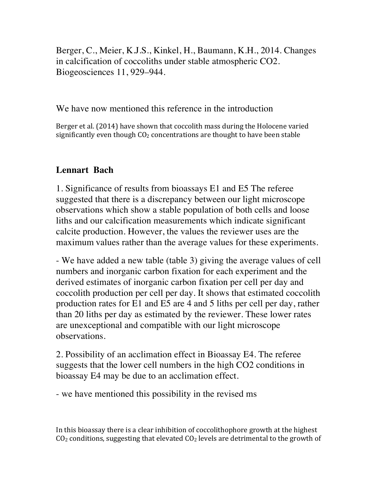Berger, C., Meier, K.J.S., Kinkel, H., Baumann, K.H., 2014. Changes in calcification of coccoliths under stable atmospheric CO2. Biogeosciences 11, 929–944.

#### We have now mentioned this reference in the introduction

Berger et al. (2014) have shown that coccolith mass during the Holocene varied significantly even though  $CO<sub>2</sub>$  concentrations are thought to have been stable

## **Lennart Bach**

1. Significance of results from bioassays E1 and E5 The referee suggested that there is a discrepancy between our light microscope observations which show a stable population of both cells and loose liths and our calcification measurements which indicate significant calcite production. However, the values the reviewer uses are the maximum values rather than the average values for these experiments.

- We have added a new table (table 3) giving the average values of cell numbers and inorganic carbon fixation for each experiment and the derived estimates of inorganic carbon fixation per cell per day and coccolith production per cell per day. It shows that estimated coccolith production rates for E1 and E5 are 4 and 5 liths per cell per day, rather than 20 liths per day as estimated by the reviewer. These lower rates are unexceptional and compatible with our light microscope observations.

2. Possibility of an acclimation effect in Bioassay E4. The referee suggests that the lower cell numbers in the high CO2 conditions in bioassay E4 may be due to an acclimation effect.

- we have mentioned this possibility in the revised ms

In this bioassay there is a clear inhibition of coccolithophore growth at the highest  $CO<sub>2</sub>$  conditions, suggesting that elevated  $CO<sub>2</sub>$  levels are detrimental to the growth of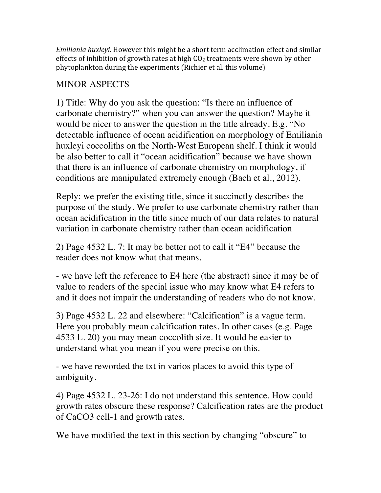*Emiliania huxleyi.* However this might be a short term acclimation effect and similar effects of inhibition of growth rates at high  $CO<sub>2</sub>$  treatments were shown by other phytoplankton during the experiments (Richier et al. this volume)

## MINOR ASPECTS

1) Title: Why do you ask the question: "Is there an influence of carbonate chemistry?" when you can answer the question? Maybe it would be nicer to answer the question in the title already. E.g. "No detectable influence of ocean acidification on morphology of Emiliania huxleyi coccoliths on the North-West European shelf. I think it would be also better to call it "ocean acidification" because we have shown that there is an influence of carbonate chemistry on morphology, if conditions are manipulated extremely enough (Bach et al., 2012).

Reply: we prefer the existing title, since it succinctly describes the purpose of the study. We prefer to use carbonate chemistry rather than ocean acidification in the title since much of our data relates to natural variation in carbonate chemistry rather than ocean acidification

2) Page 4532 L. 7: It may be better not to call it "E4" because the reader does not know what that means.

- we have left the reference to E4 here (the abstract) since it may be of value to readers of the special issue who may know what E4 refers to and it does not impair the understanding of readers who do not know.

3) Page 4532 L. 22 and elsewhere: "Calcification" is a vague term. Here you probably mean calcification rates. In other cases (e.g. Page 4533 L. 20) you may mean coccolith size. It would be easier to understand what you mean if you were precise on this.

- we have reworded the txt in varios places to avoid this type of ambiguity.

4) Page 4532 L. 23-26: I do not understand this sentence. How could growth rates obscure these response? Calcification rates are the product of CaCO3 cell-1 and growth rates.

We have modified the text in this section by changing "obscure" to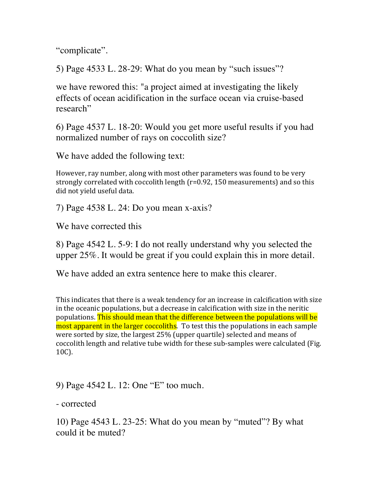"complicate".

5) Page 4533 L. 28-29: What do you mean by "such issues"?

we have rewored this: "a project aimed at investigating the likely effects of ocean acidification in the surface ocean via cruise-based research"

6) Page 4537 L. 18-20: Would you get more useful results if you had normalized number of rays on coccolith size?

We have added the following text:

However, ray number, along with most other parameters was found to be very strongly correlated with coccolith length  $(r=0.92, 150$  measurements) and so this did not yield useful data.

7) Page 4538 L. 24: Do you mean x-axis?

We have corrected this

8) Page 4542 L. 5-9: I do not really understand why you selected the upper 25%. It would be great if you could explain this in more detail.

We have added an extra sentence here to make this clearer.

This indicates that there is a weak tendency for an increase in calcification with size in the oceanic populations, but a decrease in calcification with size in the neritic populations. This should mean that the difference between the populations will be most apparent in the larger coccoliths. To test this the populations in each sample were sorted by size, the largest 25% (upper quartile) selected and means of coccolith length and relative tube width for these sub-samples were calculated (Fig. 10C).

9) Page 4542 L. 12: One "E" too much.

- corrected

10) Page 4543 L. 23-25: What do you mean by "muted"? By what could it be muted?